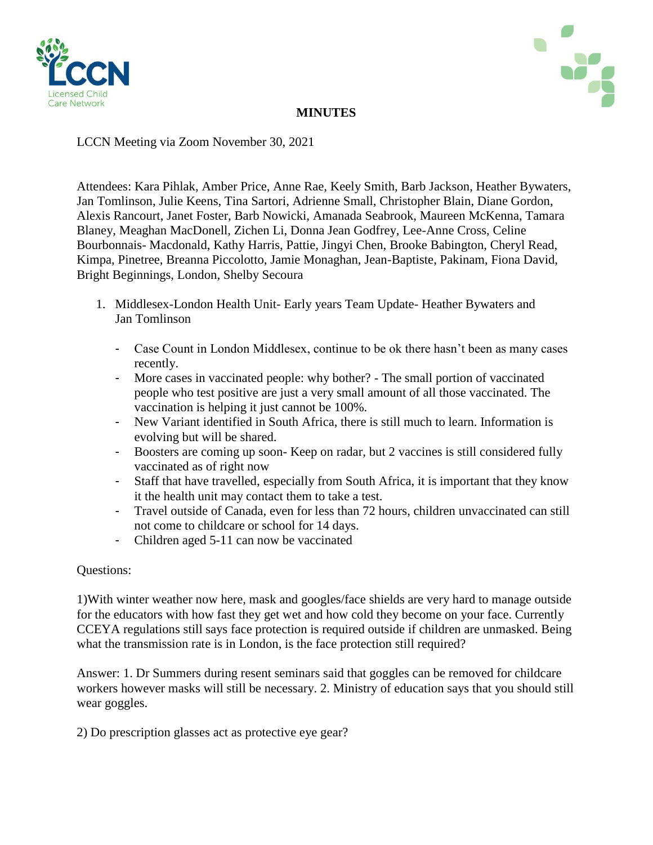



# **MINUTES**

LCCN Meeting via Zoom November 30, 2021

Attendees: Kara Pihlak, Amber Price, Anne Rae, Keely Smith, Barb Jackson, Heather Bywaters, Jan Tomlinson, Julie Keens, Tina Sartori, Adrienne Small, Christopher Blain, Diane Gordon, Alexis Rancourt, Janet Foster, Barb Nowicki, Amanada Seabrook, Maureen McKenna, Tamara Blaney, Meaghan MacDonell, Zichen Li, Donna Jean Godfrey, Lee-Anne Cross, Celine Bourbonnais- Macdonald, Kathy Harris, Pattie, Jingyi Chen, Brooke Babington, Cheryl Read, Kimpa, Pinetree, Breanna Piccolotto, Jamie Monaghan, Jean-Baptiste, Pakinam, Fiona David, Bright Beginnings, London, Shelby Secoura

- 1. Middlesex-London Health Unit- Early years Team Update- Heather Bywaters and Jan Tomlinson
	- Case Count in London Middlesex, continue to be ok there hasn't been as many cases recently.
	- More cases in vaccinated people: why bother? The small portion of vaccinated people who test positive are just a very small amount of all those vaccinated. The vaccination is helping it just cannot be 100%.
	- New Variant identified in South Africa, there is still much to learn. Information is evolving but will be shared.
	- Boosters are coming up soon- Keep on radar, but 2 vaccines is still considered fully vaccinated as of right now
	- Staff that have travelled, especially from South Africa, it is important that they know it the health unit may contact them to take a test.
	- Travel outside of Canada, even for less than 72 hours, children unvaccinated can still not come to childcare or school for 14 days.
	- Children aged 5-11 can now be vaccinated

## Questions:

1)With winter weather now here, mask and googles/face shields are very hard to manage outside for the educators with how fast they get wet and how cold they become on your face. Currently CCEYA regulations still says face protection is required outside if children are unmasked. Being what the transmission rate is in London, is the face protection still required?

Answer: 1. Dr Summers during resent seminars said that goggles can be removed for childcare workers however masks will still be necessary. 2. Ministry of education says that you should still wear goggles.

2) Do prescription glasses act as protective eye gear?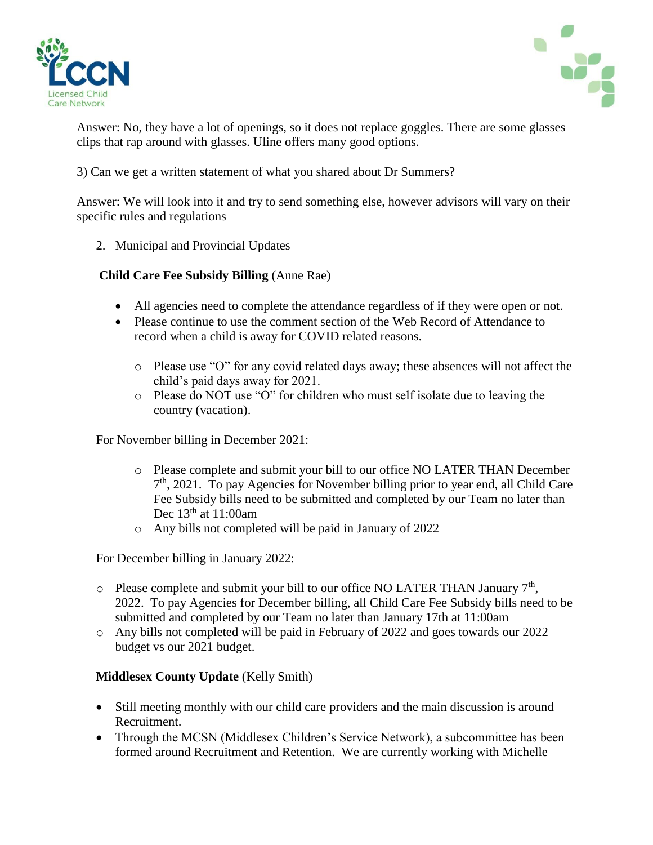



Answer: No, they have a lot of openings, so it does not replace goggles. There are some glasses clips that rap around with glasses. Uline offers many good options.

3) Can we get a written statement of what you shared about Dr Summers?

Answer: We will look into it and try to send something else, however advisors will vary on their specific rules and regulations

2. Municipal and Provincial Updates

## **Child Care Fee Subsidy Billing** (Anne Rae)

- All agencies need to complete the attendance regardless of if they were open or not.
- Please continue to use the comment section of the Web Record of Attendance to record when a child is away for COVID related reasons.
	- o Please use "O" for any covid related days away; these absences will not affect the child's paid days away for 2021.
	- o Please do NOT use "O" for children who must self isolate due to leaving the country (vacation).

For November billing in December 2021:

- o Please complete and submit your bill to our office NO LATER THAN December 7 th, 2021. To pay Agencies for November billing prior to year end, all Child Care Fee Subsidy bills need to be submitted and completed by our Team no later than Dec  $13<sup>th</sup>$  at  $11:00$ am
- o Any bills not completed will be paid in January of 2022

For December billing in January 2022:

- $\circ$  Please complete and submit your bill to our office NO LATER THAN January  $7<sup>th</sup>$ , 2022. To pay Agencies for December billing, all Child Care Fee Subsidy bills need to be submitted and completed by our Team no later than January 17th at 11:00am
- o Any bills not completed will be paid in February of 2022 and goes towards our 2022 budget vs our 2021 budget.

## **Middlesex County Update** (Kelly Smith)

- Still meeting monthly with our child care providers and the main discussion is around Recruitment.
- Through the MCSN (Middlesex Children's Service Network), a subcommittee has been formed around Recruitment and Retention. We are currently working with Michelle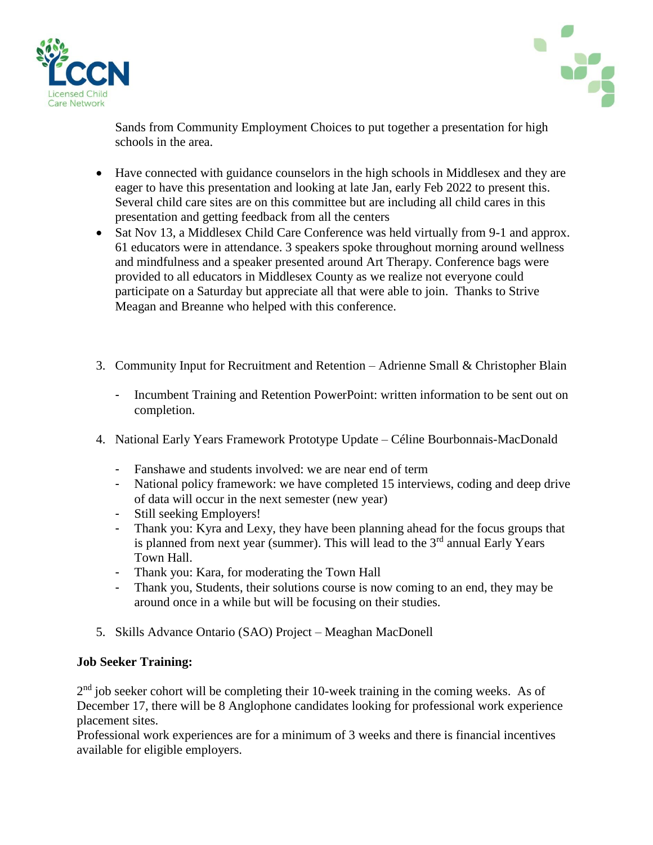



Sands from Community Employment Choices to put together a presentation for high schools in the area.

- Have connected with guidance counselors in the high schools in Middlesex and they are eager to have this presentation and looking at late Jan, early Feb 2022 to present this. Several child care sites are on this committee but are including all child cares in this presentation and getting feedback from all the centers
- Sat Nov 13, a Middlesex Child Care Conference was held virtually from 9-1 and approx. 61 educators were in attendance. 3 speakers spoke throughout morning around wellness and mindfulness and a speaker presented around Art Therapy. Conference bags were provided to all educators in Middlesex County as we realize not everyone could participate on a Saturday but appreciate all that were able to join. Thanks to Strive Meagan and Breanne who helped with this conference.
- 3. Community Input for Recruitment and Retention Adrienne Small & Christopher Blain
	- Incumbent Training and Retention PowerPoint: written information to be sent out on completion.
- 4. National Early Years Framework Prototype Update Céline Bourbonnais-MacDonald
	- Fanshawe and students involved: we are near end of term
	- National policy framework: we have completed 15 interviews, coding and deep drive of data will occur in the next semester (new year)
	- Still seeking Employers!
	- Thank you: Kyra and Lexy, they have been planning ahead for the focus groups that is planned from next year (summer). This will lead to the  $3<sup>rd</sup>$  annual Early Years Town Hall.
	- Thank you: Kara, for moderating the Town Hall
	- Thank you, Students, their solutions course is now coming to an end, they may be around once in a while but will be focusing on their studies.
- 5. Skills Advance Ontario (SAO) Project Meaghan MacDonell

## **Job Seeker Training:**

 $2<sup>nd</sup>$  job seeker cohort will be completing their 10-week training in the coming weeks. As of December 17, there will be 8 Anglophone candidates looking for professional work experience placement sites.

Professional work experiences are for a minimum of 3 weeks and there is financial incentives available for eligible employers.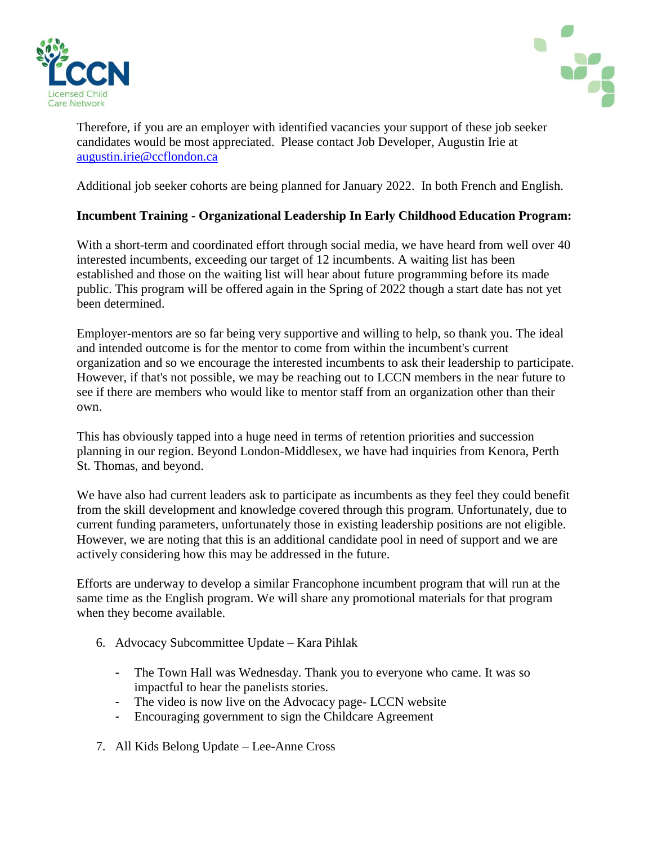



Therefore, if you are an employer with identified vacancies your support of these job seeker candidates would be most appreciated. Please contact Job Developer, Augustin Irie at [augustin.irie@ccflondon.ca](mailto:augustin.irie@ccflondon.ca)

Additional job seeker cohorts are being planned for January 2022. In both French and English.

## **Incumbent Training - Organizational Leadership In Early Childhood Education Program:**

With a short-term and coordinated effort through social media, we have heard from well over 40 interested incumbents, exceeding our target of 12 incumbents. A waiting list has been established and those on the waiting list will hear about future programming before its made public. This program will be offered again in the Spring of 2022 though a start date has not yet been determined.

Employer-mentors are so far being very supportive and willing to help, so thank you. The ideal and intended outcome is for the mentor to come from within the incumbent's current organization and so we encourage the interested incumbents to ask their leadership to participate. However, if that's not possible, we may be reaching out to LCCN members in the near future to see if there are members who would like to mentor staff from an organization other than their own.

This has obviously tapped into a huge need in terms of retention priorities and succession planning in our region. Beyond London-Middlesex, we have had inquiries from Kenora, Perth St. Thomas, and beyond.

We have also had current leaders ask to participate as incumbents as they feel they could benefit from the skill development and knowledge covered through this program. Unfortunately, due to current funding parameters, unfortunately those in existing leadership positions are not eligible. However, we are noting that this is an additional candidate pool in need of support and we are actively considering how this may be addressed in the future.

Efforts are underway to develop a similar Francophone incumbent program that will run at the same time as the English program. We will share any promotional materials for that program when they become available.

- 6. Advocacy Subcommittee Update Kara Pihlak
	- The Town Hall was Wednesday. Thank you to everyone who came. It was so impactful to hear the panelists stories.
	- The video is now live on the Advocacy page- LCCN website
	- Encouraging government to sign the Childcare Agreement
- 7. All Kids Belong Update Lee-Anne Cross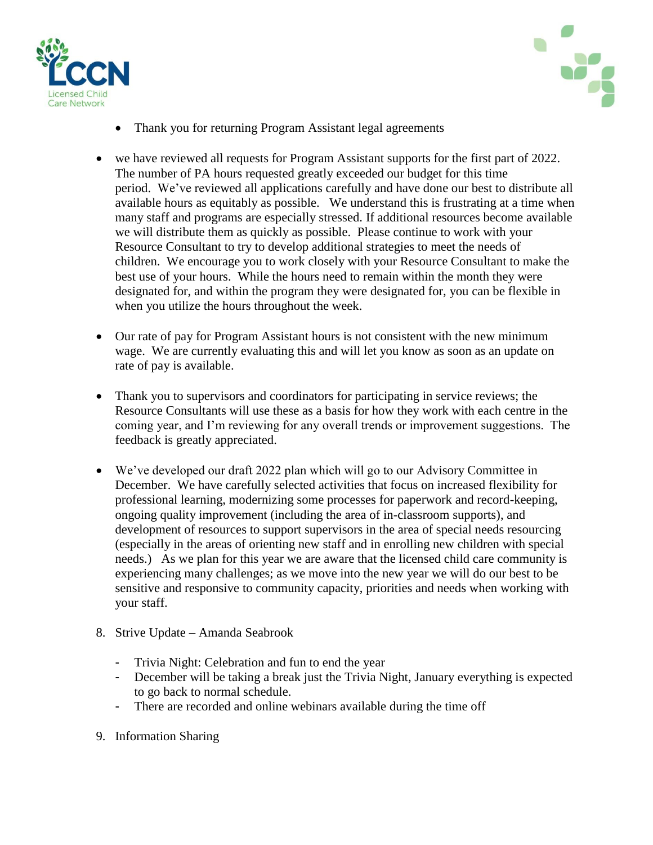



- Thank you for returning Program Assistant legal agreements
- we have reviewed all requests for Program Assistant supports for the first part of 2022. The number of PA hours requested greatly exceeded our budget for this time period. We've reviewed all applications carefully and have done our best to distribute all available hours as equitably as possible. We understand this is frustrating at a time when many staff and programs are especially stressed. If additional resources become available we will distribute them as quickly as possible. Please continue to work with your Resource Consultant to try to develop additional strategies to meet the needs of children. We encourage you to work closely with your Resource Consultant to make the best use of your hours. While the hours need to remain within the month they were designated for, and within the program they were designated for, you can be flexible in when you utilize the hours throughout the week.
- Our rate of pay for Program Assistant hours is not consistent with the new minimum wage. We are currently evaluating this and will let you know as soon as an update on rate of pay is available.
- Thank you to supervisors and coordinators for participating in service reviews; the Resource Consultants will use these as a basis for how they work with each centre in the coming year, and I'm reviewing for any overall trends or improvement suggestions. The feedback is greatly appreciated.
- We've developed our draft 2022 plan which will go to our Advisory Committee in December. We have carefully selected activities that focus on increased flexibility for professional learning, modernizing some processes for paperwork and record-keeping, ongoing quality improvement (including the area of in-classroom supports), and development of resources to support supervisors in the area of special needs resourcing (especially in the areas of orienting new staff and in enrolling new children with special needs.) As we plan for this year we are aware that the licensed child care community is experiencing many challenges; as we move into the new year we will do our best to be sensitive and responsive to community capacity, priorities and needs when working with your staff.
- 8. Strive Update Amanda Seabrook
	- Trivia Night: Celebration and fun to end the year
	- December will be taking a break just the Trivia Night, January everything is expected to go back to normal schedule.
	- There are recorded and online webinars available during the time off
- 9. Information Sharing